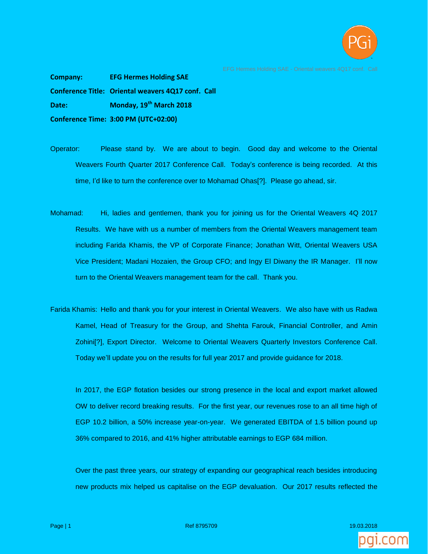

**Company: EFG Hermes Holding SAE Conference Title: Oriental weavers 4Q17 conf. Call Date: Monday, 19th March 2018 Conference Time: 3:00 PM (UTC+02:00)**

- Operator: Please stand by. We are about to begin. Good day and welcome to the Oriental Weavers Fourth Quarter 2017 Conference Call. Today's conference is being recorded. At this time, I'd like to turn the conference over to Mohamad Ohas[?]. Please go ahead, sir.
- Mohamad: Hi, ladies and gentlemen, thank you for joining us for the Oriental Weavers 4Q 2017 Results. We have with us a number of members from the Oriental Weavers management team including Farida Khamis, the VP of Corporate Finance; Jonathan Witt, Oriental Weavers USA Vice President; Madani Hozaien, the Group CFO; and Ingy El Diwany the IR Manager. I'll now turn to the Oriental Weavers management team for the call. Thank you.
- Farida Khamis: Hello and thank you for your interest in Oriental Weavers. We also have with us Radwa Kamel, Head of Treasury for the Group, and Shehta Farouk, Financial Controller, and Amin Zohini[?], Export Director. Welcome to Oriental Weavers Quarterly Investors Conference Call. Today we'll update you on the results for full year 2017 and provide guidance for 2018.

In 2017, the EGP flotation besides our strong presence in the local and export market allowed OW to deliver record breaking results. For the first year, our revenues rose to an all time high of EGP 10.2 billion, a 50% increase year-on-year. We generated EBITDA of 1.5 billion pound up 36% compared to 2016, and 41% higher attributable earnings to EGP 684 million.

Over the past three years, our strategy of expanding our geographical reach besides introducing new products mix helped us capitalise on the EGP devaluation. Our 2017 results reflected the



Page | 1 Ref 8795709 19.03.2018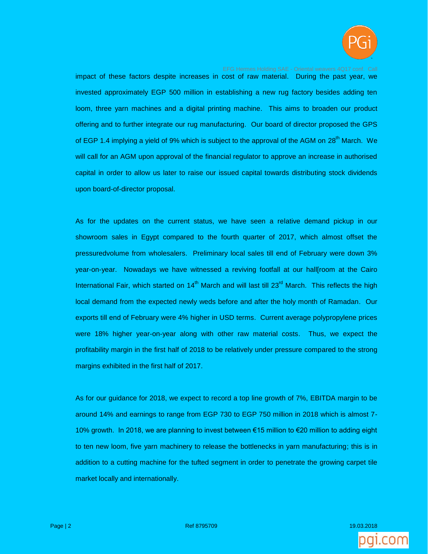

impact of these factors despite increases in cost of raw material. During the past year, we invested approximately EGP 500 million in establishing a new rug factory besides adding ten loom, three yarn machines and a digital printing machine. This aims to broaden our product offering and to further integrate our rug manufacturing. Our board of director proposed the GPS of EGP 1.4 implying a yield of 9% which is subject to the approval of the AGM on 28<sup>th</sup> March. We will call for an AGM upon approval of the financial regulator to approve an increase in authorised capital in order to allow us later to raise our issued capital towards distributing stock dividends upon board-of-director proposal.

As for the updates on the current status, we have seen a relative demand pickup in our showroom sales in Egypt compared to the fourth quarter of 2017, which almost offset the pressuredvolume from wholesalers. Preliminary local sales till end of February were down 3% year-on-year. Nowadays we have witnessed a reviving footfall at our hall[room at the Cairo International Fair, which started on  $14<sup>th</sup>$  March and will last till 23<sup>rd</sup> March. This reflects the high local demand from the expected newly weds before and after the holy month of Ramadan. Our exports till end of February were 4% higher in USD terms. Current average polypropylene prices were 18% higher year-on-year along with other raw material costs. Thus, we expect the profitability margin in the first half of 2018 to be relatively under pressure compared to the strong margins exhibited in the first half of 2017.

As for our guidance for 2018, we expect to record a top line growth of 7%, EBITDA margin to be around 14% and earnings to range from EGP 730 to EGP 750 million in 2018 which is almost 7- 10% growth. In 2018, we are planning to invest between €15 million to €20 million to adding eight to ten new loom, five yarn machinery to release the bottlenecks in yarn manufacturing; this is in addition to a cutting machine for the tufted segment in order to penetrate the growing carpet tile market locally and internationally.



Page | 2 **Page | 2 میلادی | 2 Page | 2 میلادی | 2 Page | 2 میلادی | 2 میلادی | 2 میلادی | 2 میلادی | 2 میلادی**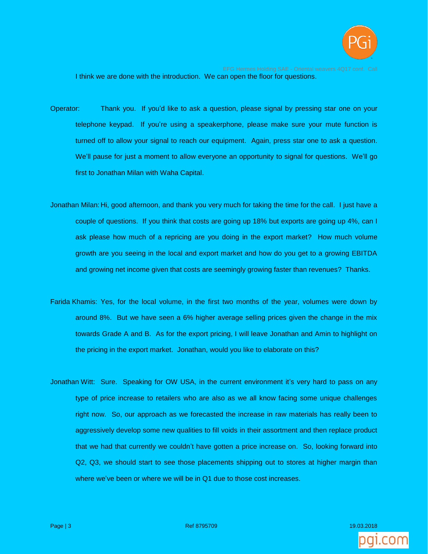

I think we are done with the introduction. We can open the floor for questions.

- Operator: Thank you. If you'd like to ask a question, please signal by pressing star one on your telephone keypad. If you're using a speakerphone, please make sure your mute function is turned off to allow your signal to reach our equipment. Again, press star one to ask a question. We'll pause for just a moment to allow everyone an opportunity to signal for questions. We'll go first to Jonathan Milan with Waha Capital.
- Jonathan Milan: Hi, good afternoon, and thank you very much for taking the time for the call. I just have a couple of questions. If you think that costs are going up 18% but exports are going up 4%, can I ask please how much of a repricing are you doing in the export market? How much volume growth are you seeing in the local and export market and how do you get to a growing EBITDA and growing net income given that costs are seemingly growing faster than revenues? Thanks.
- Farida Khamis: Yes, for the local volume, in the first two months of the year, volumes were down by around 8%. But we have seen a 6% higher average selling prices given the change in the mix towards Grade A and B. As for the export pricing, I will leave Jonathan and Amin to highlight on the pricing in the export market. Jonathan, would you like to elaborate on this?
- Jonathan Witt: Sure. Speaking for OW USA, in the current environment it's very hard to pass on any type of price increase to retailers who are also as we all know facing some unique challenges right now. So, our approach as we forecasted the increase in raw materials has really been to aggressively develop some new qualities to fill voids in their assortment and then replace product that we had that currently we couldn't have gotten a price increase on. So, looking forward into Q2, Q3, we should start to see those placements shipping out to stores at higher margin than where we've been or where we will be in Q1 due to those cost increases.



Page | 3 **Page | 3 Ref 8795709 19.03.2018 19.03.2018** 19.03.2018 19.03.2018 19.03.2018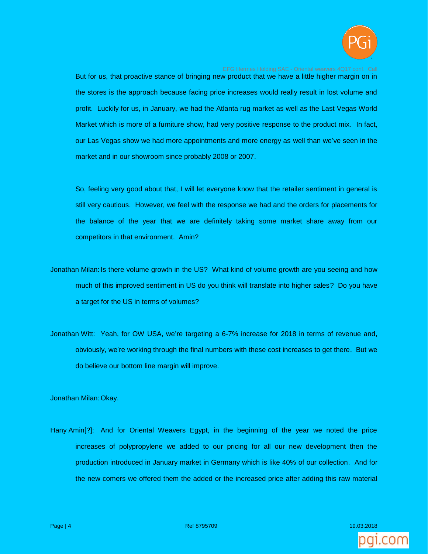

But for us, that proactive stance of bringing new product that we have a little higher margin on in the stores is the approach because facing price increases would really result in lost volume and profit. Luckily for us, in January, we had the Atlanta rug market as well as the Last Vegas World Market which is more of a furniture show, had very positive response to the product mix. In fact, our Las Vegas show we had more appointments and more energy as well than we've seen in the market and in our showroom since probably 2008 or 2007.

So, feeling very good about that, I will let everyone know that the retailer sentiment in general is still very cautious. However, we feel with the response we had and the orders for placements for the balance of the year that we are definitely taking some market share away from our competitors in that environment. Amin?

- Jonathan Milan: Is there volume growth in the US? What kind of volume growth are you seeing and how much of this improved sentiment in US do you think will translate into higher sales? Do you have a target for the US in terms of volumes?
- Jonathan Witt: Yeah, for OW USA, we're targeting a 6-7% increase for 2018 in terms of revenue and, obviously, we're working through the final numbers with these cost increases to get there. But we do believe our bottom line margin will improve.

Jonathan Milan: Okay.

Hany Amin[?]: And for Oriental Weavers Egypt, in the beginning of the year we noted the price increases of polypropylene we added to our pricing for all our new development then the production introduced in January market in Germany which is like 40% of our collection. And for the new comers we offered them the added or the increased price after adding this raw material

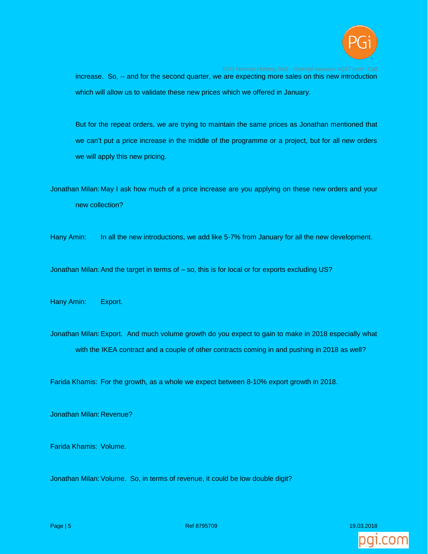

increase. So, -- and for the second quarter, we are expecting more sales on this new introduction which will allow us to validate these new prices which we offered in January.

But for the repeat orders, we are trying to maintain the same prices as Jonathan mentioned that we can't put a price increase in the middle of the programme or a project, but for all new orders we will apply this new pricing.

Jonathan Milan: May I ask how much of a price increase are you applying on these new orders and your new collection?

Hany Amin: In all the new introductions, we add like 5-7% from January for all the new development.

Jonathan Milan: And the target in terms of  $-$  so, this is for local or for exports excluding US?

Hany Amin: Export.

Jonathan Milan:Export. And much volume growth do you expect to gain to make in 2018 especially what with the IKEA contract and a couple of other contracts coming in and pushing in 2018 as well?

Farida Khamis: For the growth, as a whole we expect between 8-10% export growth in 2018.

Jonathan Milan: Revenue?

Farida Khamis: Volume.

Jonathan Milan: Volume. So, in terms of revenue, it could be low double digit?

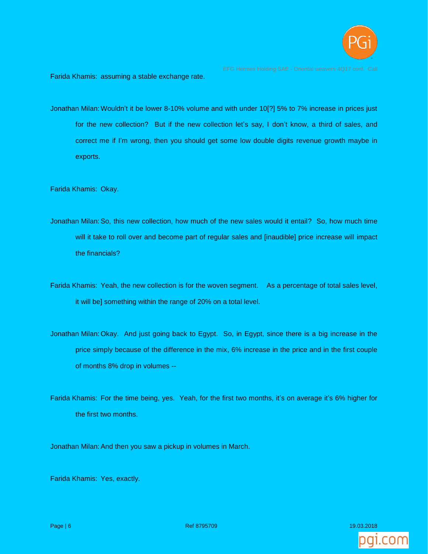

Farida Khamis: assuming a stable exchange rate.

Jonathan Milan:Wouldn't it be lower 8-10% volume and with under 10[?] 5% to 7% increase in prices just for the new collection? But if the new collection let's say, I don't know, a third of sales, and correct me if I'm wrong, then you should get some low double digits revenue growth maybe in exports.

Farida Khamis: Okay.

- Jonathan Milan:So, this new collection, how much of the new sales would it entail? So, how much time will it take to roll over and become part of regular sales and [inaudible] price increase will impact the financials?
- Farida Khamis: Yeah, the new collection is for the woven segment. As a percentage of total sales level, it will be] something within the range of 20% on a total level.
- Jonathan Milan: Okay. And just going back to Egypt. So, in Egypt, since there is a big increase in the price simply because of the difference in the mix, 6% increase in the price and in the first couple of months 8% drop in volumes --
- Farida Khamis: For the time being, yes. Yeah, for the first two months, it's on average it's 6% higher for the first two months.

Jonathan Milan: And then you saw a pickup in volumes in March.

Farida Khamis: Yes, exactly.

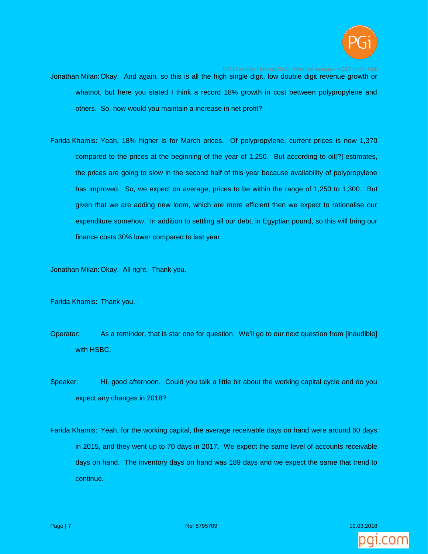

- Jonathan Milan: Okay. And again, so this is all the high single digit, low double digit revenue growth or whatnot, but here you stated I think a record 18% growth in cost between polypropylene and others. So, how would you maintain a increase in net profit?
- Farida Khamis: Yeah, 18% higher is for March prices. Of polypropylene, current prices is now 1,370 compared to the prices at the beginning of the year of 1,250. But according to oil[?] estimates, the prices are going to slow in the second half of this year because availability of polypropylene has improved. So, we expect on average, prices to be within the range of 1,250 to 1,300. But given that we are adding new loom, which are more efficient then we expect to rationalise our expenditure somehow. In addition to settling all our debt, in Egyptian pound, so this will bring our finance costs 30% lower compared to last year.

Jonathan Milan: Okay. All right. Thank you.

Farida Khamis: Thank you.

- Operator: As a reminder, that is star one for question. We'll go to our next question from [inaudible] with HSBC.
- Speaker: Hi, good afternoon. Could you talk a little bit about the working capital cycle and do you expect any changes in 2018?
- Farida Khamis: Yeah, for the working capital, the average receivable days on hand were around 60 days in 2015, and they went up to 70 days in 2017. We expect the same level of accounts receivable days on hand. The inventory days on hand was 189 days and we expect the same that trend to continue.

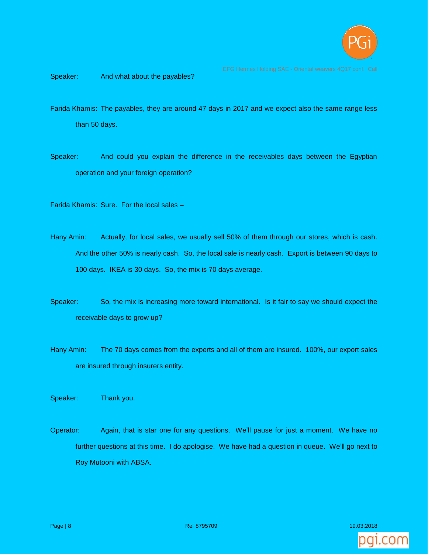

Speaker: And what about the payables?

- Farida Khamis: The payables, they are around 47 days in 2017 and we expect also the same range less than 50 days.
- Speaker: And could you explain the difference in the receivables days between the Egyptian operation and your foreign operation?
- Farida Khamis: Sure. For the local sales –
- Hany Amin: Actually, for local sales, we usually sell 50% of them through our stores, which is cash. And the other 50% is nearly cash. So, the local sale is nearly cash. Export is between 90 days to 100 days. IKEA is 30 days. So, the mix is 70 days average.
- Speaker: So, the mix is increasing more toward international. Is it fair to say we should expect the receivable days to grow up?
- Hany Amin: The 70 days comes from the experts and all of them are insured. 100%, our export sales are insured through insurers entity.
- Speaker: Thank you.
- Operator: Again, that is star one for any questions. We'll pause for just a moment. We have no further questions at this time. I do apologise. We have had a question in queue. We'll go next to Roy Mutooni with ABSA.

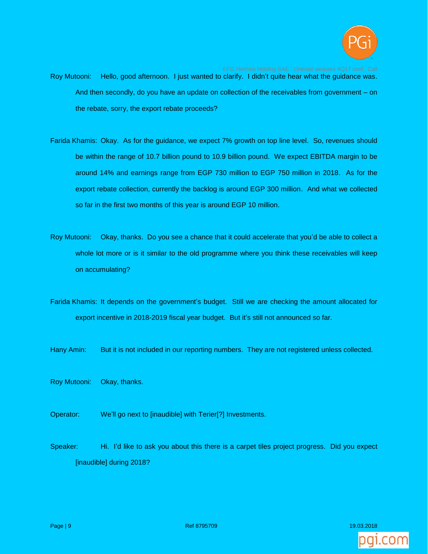

- Roy Mutooni: Hello, good afternoon. I just wanted to clarify. I didn't quite hear what the guidance was. And then secondly, do you have an update on collection of the receivables from government – on the rebate, sorry, the export rebate proceeds?
- Farida Khamis: Okay. As for the guidance, we expect 7% growth on top line level. So, revenues should be within the range of 10.7 billion pound to 10.9 billion pound. We expect EBITDA margin to be around 14% and earnings range from EGP 730 million to EGP 750 million in 2018. As for the export rebate collection, currently the backlog is around EGP 300 million. And what we collected so far in the first two months of this year is around EGP 10 million.
- Roy Mutooni: Okay, thanks. Do you see a chance that it could accelerate that you'd be able to collect a whole lot more or is it similar to the old programme where you think these receivables will keep on accumulating?
- Farida Khamis: It depends on the government's budget. Still we are checking the amount allocated for export incentive in 2018-2019 fiscal year budget. But it's still not announced so far.
- Hany Amin: But it is not included in our reporting numbers. They are not registered unless collected.
- Roy Mutooni: Okay, thanks.
- Operator: We'll go next to [inaudible] with Terier[?] Investments.
- Speaker: Hi. I'd like to ask you about this there is a carpet tiles project progress. Did you expect [inaudible] during 2018?

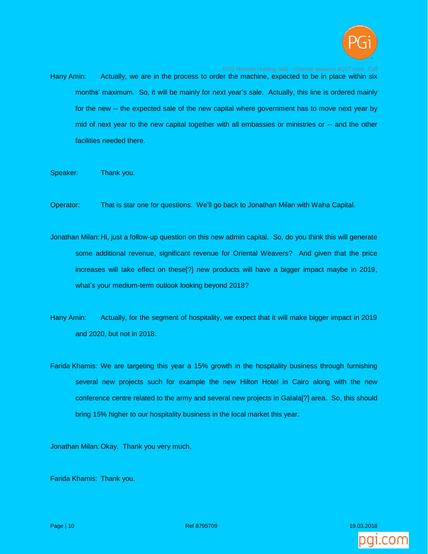

- Hany Amin: Actually, we are in the process to order the machine, expected to be in place within six months' maximum. So, it will be mainly for next year's sale. Actually, this line is ordered mainly for the new -- the expected sale of the new capital where government has to move next year by mid of next year to the new capital together with all embassies or ministries or -- and the other facilities needed there.
- Speaker: Thank you.
- Operator: That is star one for questions. We'll go back to Jonathan Milan with Waha Capital.
- Jonathan Milan: Hi, just a follow-up question on this new admin capital. So, do you think this will generate some additional revenue, significant revenue for Oriental Weavers? And given that the price increases will take effect on these[?] new products will have a bigger impact maybe in 2019, what's your medium-term outlook looking beyond 2018?
- Hany Amin: Actually, for the segment of hospitality, we expect that it will make bigger impact in 2019 and 2020, but not in 2018.
- Farida Khamis: We are targeting this year a 15% growth in the hospitality business through furnishing several new projects such for example the new Hilton Hotel in Cairo along with the new conference centre related to the army and several new projects in Galala[?] area. So, this should bring 15% higher to our hospitality business in the local market this year.

Jonathan Milan: Okay. Thank you very much.

Farida Khamis: Thank you.

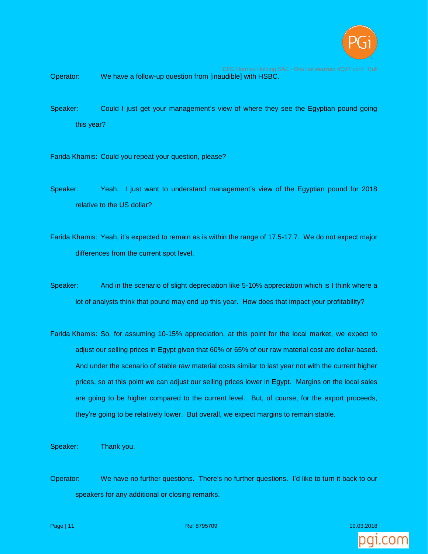

Operator: We have a follow-up question from [inaudible] with HSBC.

- Speaker: Could I just get your management's view of where they see the Egyptian pound going this year?
- Farida Khamis: Could you repeat your question, please?
- Speaker: Yeah. I just want to understand management's view of the Egyptian pound for 2018 relative to the US dollar?
- Farida Khamis: Yeah, it's expected to remain as is within the range of 17.5-17.7. We do not expect major differences from the current spot level.
- Speaker: And in the scenario of slight depreciation like 5-10% appreciation which is I think where a lot of analysts think that pound may end up this year. How does that impact your profitability?
- Farida Khamis: So, for assuming 10-15% appreciation, at this point for the local market, we expect to adjust our selling prices in Egypt given that 60% or 65% of our raw material cost are dollar-based. And under the scenario of stable raw material costs similar to last year not with the current higher prices, so at this point we can adjust our selling prices lower in Egypt. Margins on the local sales are going to be higher compared to the current level. But, of course, for the export proceeds, they're going to be relatively lower. But overall, we expect margins to remain stable.

Speaker: Thank you.

Operator: We have no further questions. There's no further questions. I'd like to turn it back to our speakers for any additional or closing remarks.



Page | 11 **Page | 11 Page | 12 Page | 12 Page | 12 Page | 12 Page | 12 Page | 1**9.03.2018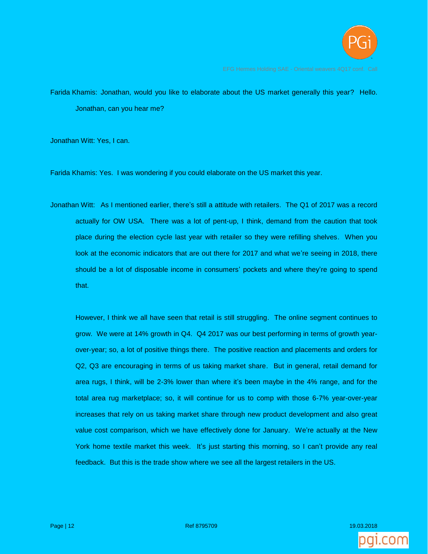

Farida Khamis: Jonathan, would you like to elaborate about the US market generally this year? Hello. Jonathan, can you hear me?

Jonathan Witt: Yes, I can.

Farida Khamis: Yes. I was wondering if you could elaborate on the US market this year.

Jonathan Witt: As I mentioned earlier, there's still a attitude with retailers. The Q1 of 2017 was a record actually for OW USA. There was a lot of pent-up, I think, demand from the caution that took place during the election cycle last year with retailer so they were refilling shelves. When you look at the economic indicators that are out there for 2017 and what we're seeing in 2018, there should be a lot of disposable income in consumers' pockets and where they're going to spend that.

However, I think we all have seen that retail is still struggling. The online segment continues to grow. We were at 14% growth in Q4. Q4 2017 was our best performing in terms of growth yearover-year; so, a lot of positive things there. The positive reaction and placements and orders for Q2, Q3 are encouraging in terms of us taking market share. But in general, retail demand for area rugs, I think, will be 2-3% lower than where it's been maybe in the 4% range, and for the total area rug marketplace; so, it will continue for us to comp with those 6-7% year-over-year increases that rely on us taking market share through new product development and also great value cost comparison, which we have effectively done for January. We're actually at the New York home textile market this week. It's just starting this morning, so I can't provide any real feedback. But this is the trade show where we see all the largest retailers in the US.

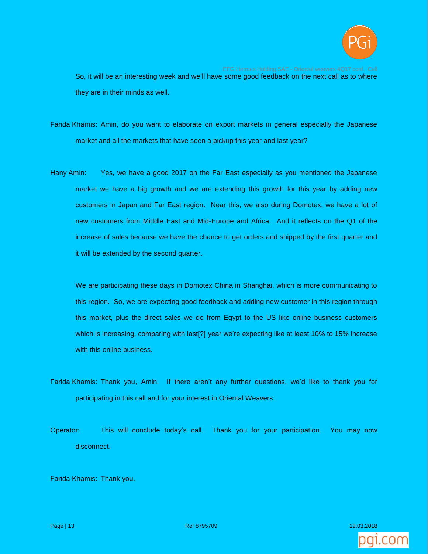

So, it will be an interesting week and we'll have some good feedback on the next call as to where they are in their minds as well.

- Farida Khamis: Amin, do you want to elaborate on export markets in general especially the Japanese market and all the markets that have seen a pickup this year and last year?
- Hany Amin: Yes, we have a good 2017 on the Far East especially as you mentioned the Japanese market we have a big growth and we are extending this growth for this year by adding new customers in Japan and Far East region. Near this, we also during Domotex, we have a lot of new customers from Middle East and Mid-Europe and Africa. And it reflects on the Q1 of the increase of sales because we have the chance to get orders and shipped by the first quarter and it will be extended by the second quarter.

We are participating these days in Domotex China in Shanghai, which is more communicating to this region. So, we are expecting good feedback and adding new customer in this region through this market, plus the direct sales we do from Egypt to the US like online business customers which is increasing, comparing with last[?] year we're expecting like at least 10% to 15% increase with this online business.

- Farida Khamis: Thank you, Amin. If there aren't any further questions, we'd like to thank you for participating in this call and for your interest in Oriental Weavers.
- Operator: This will conclude today's call. Thank you for your participation. You may now disconnect.

Farida Khamis: Thank you.